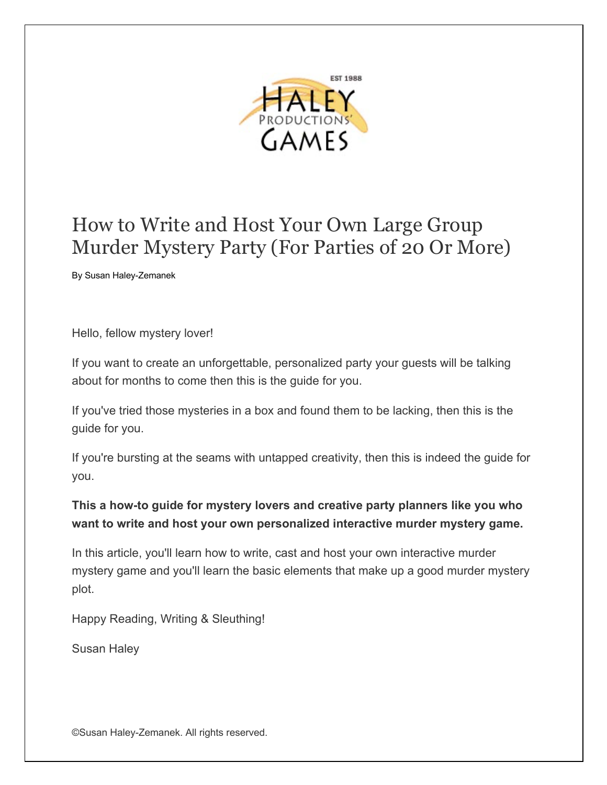

# How to Write and Host Your Own Large Group Murder Mystery Party (For Parties of 20 Or More)

By Susan Haley-Zemanek

Hello, fellow mystery lover!

If you want to create an unforgettable, personalized party your guests will be talking about for months to come then this is the guide for you.

If you've tried those mysteries in a box and found them to be lacking, then this is the guide for you.

If you're bursting at the seams with untapped creativity, then this is indeed the guide for you.

# **This a how-to guide for mystery lovers and creative party planners like you who want to write and host your own personalized interactive murder mystery game.**

In this article, you'll learn how to write, cast and host your own interactive murder mystery game and you'll learn the basic elements that make up a good murder mystery plot.

Happy Reading, Writing & Sleuthing!

Susan Haley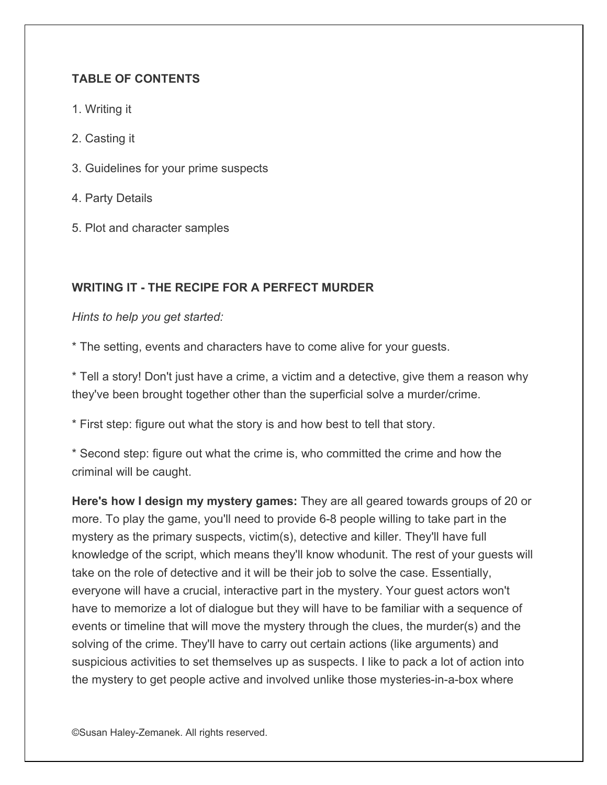# **TABLE OF CONTENTS**

- 1. Writing it
- 2. Casting it
- 3. Guidelines for your prime suspects
- 4. Party Details
- 5. Plot and character samples

# **WRITING IT - THE RECIPE FOR A PERFECT MURDER**

#### *Hints to help you get started:*

\* The setting, events and characters have to come alive for your guests.

\* Tell a story! Don't just have a crime, a victim and a detective, give them a reason why they've been brought together other than the superficial solve a murder/crime.

\* First step: figure out what the story is and how best to tell that story.

\* Second step: figure out what the crime is, who committed the crime and how the criminal will be caught.

**Here's how I design my mystery games:** They are all geared towards groups of 20 or more. To play the game, you'll need to provide 6-8 people willing to take part in the mystery as the primary suspects, victim(s), detective and killer. They'll have full knowledge of the script, which means they'll know whodunit. The rest of your guests will take on the role of detective and it will be their job to solve the case. Essentially, everyone will have a crucial, interactive part in the mystery. Your guest actors won't have to memorize a lot of dialogue but they will have to be familiar with a sequence of events or timeline that will move the mystery through the clues, the murder(s) and the solving of the crime. They'll have to carry out certain actions (like arguments) and suspicious activities to set themselves up as suspects. I like to pack a lot of action into the mystery to get people active and involved unlike those mysteries-in-a-box where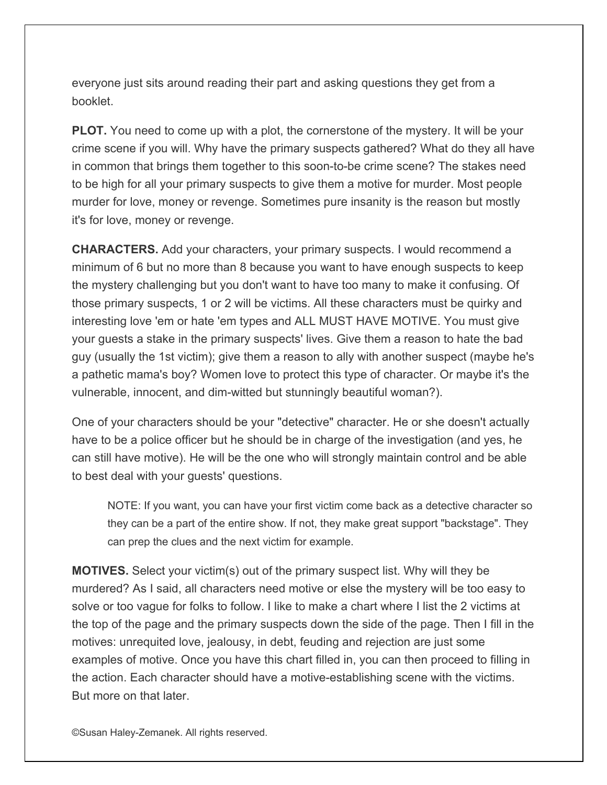everyone just sits around reading their part and asking questions they get from a booklet.

**PLOT.** You need to come up with a plot, the cornerstone of the mystery. It will be your crime scene if you will. Why have the primary suspects gathered? What do they all have in common that brings them together to this soon-to-be crime scene? The stakes need to be high for all your primary suspects to give them a motive for murder. Most people murder for love, money or revenge. Sometimes pure insanity is the reason but mostly it's for love, money or revenge.

**CHARACTERS.** Add your characters, your primary suspects. I would recommend a minimum of 6 but no more than 8 because you want to have enough suspects to keep the mystery challenging but you don't want to have too many to make it confusing. Of those primary suspects, 1 or 2 will be victims. All these characters must be quirky and interesting love 'em or hate 'em types and ALL MUST HAVE MOTIVE. You must give your guests a stake in the primary suspects' lives. Give them a reason to hate the bad guy (usually the 1st victim); give them a reason to ally with another suspect (maybe he's a pathetic mama's boy? Women love to protect this type of character. Or maybe it's the vulnerable, innocent, and dim-witted but stunningly beautiful woman?).

One of your characters should be your "detective" character. He or she doesn't actually have to be a police officer but he should be in charge of the investigation (and yes, he can still have motive). He will be the one who will strongly maintain control and be able to best deal with your guests' questions.

NOTE: If you want, you can have your first victim come back as a detective character so they can be a part of the entire show. If not, they make great support "backstage". They can prep the clues and the next victim for example.

**MOTIVES.** Select your victim(s) out of the primary suspect list. Why will they be murdered? As I said, all characters need motive or else the mystery will be too easy to solve or too vague for folks to follow. I like to make a chart where I list the 2 victims at the top of the page and the primary suspects down the side of the page. Then I fill in the motives: unrequited love, jealousy, in debt, feuding and rejection are just some examples of motive. Once you have this chart filled in, you can then proceed to filling in the action. Each character should have a motive-establishing scene with the victims. But more on that later.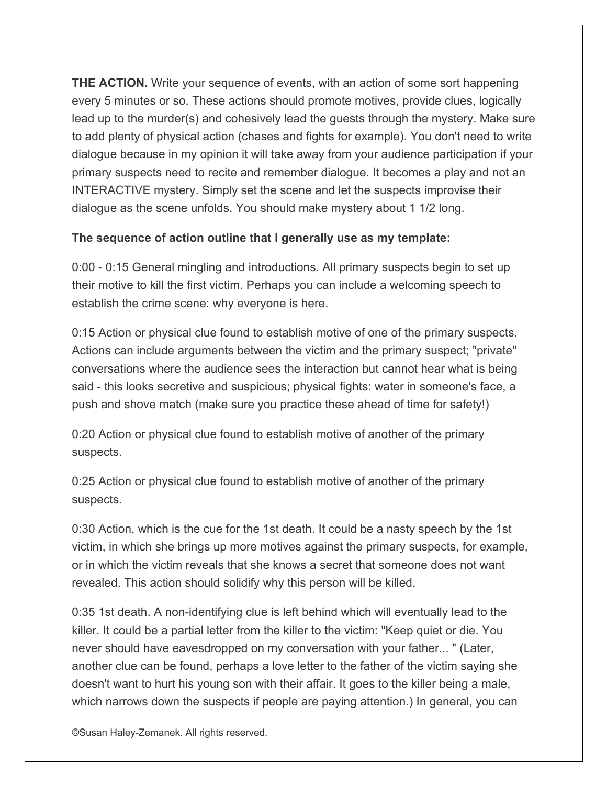**THE ACTION.** Write your sequence of events, with an action of some sort happening every 5 minutes or so. These actions should promote motives, provide clues, logically lead up to the murder(s) and cohesively lead the guests through the mystery. Make sure to add plenty of physical action (chases and fights for example). You don't need to write dialogue because in my opinion it will take away from your audience participation if your primary suspects need to recite and remember dialogue. It becomes a play and not an INTERACTIVE mystery. Simply set the scene and let the suspects improvise their dialogue as the scene unfolds. You should make mystery about 1 1/2 long.

# **The sequence of action outline that I generally use as my template:**

0:00 - 0:15 General mingling and introductions. All primary suspects begin to set up their motive to kill the first victim. Perhaps you can include a welcoming speech to establish the crime scene: why everyone is here.

0:15 Action or physical clue found to establish motive of one of the primary suspects. Actions can include arguments between the victim and the primary suspect; "private" conversations where the audience sees the interaction but cannot hear what is being said - this looks secretive and suspicious; physical fights: water in someone's face, a push and shove match (make sure you practice these ahead of time for safety!)

0:20 Action or physical clue found to establish motive of another of the primary suspects.

0:25 Action or physical clue found to establish motive of another of the primary suspects.

0:30 Action, which is the cue for the 1st death. It could be a nasty speech by the 1st victim, in which she brings up more motives against the primary suspects, for example, or in which the victim reveals that she knows a secret that someone does not want revealed. This action should solidify why this person will be killed.

0:35 1st death. A non-identifying clue is left behind which will eventually lead to the killer. It could be a partial letter from the killer to the victim: "Keep quiet or die. You never should have eavesdropped on my conversation with your father... " (Later, another clue can be found, perhaps a love letter to the father of the victim saying she doesn't want to hurt his young son with their affair. It goes to the killer being a male, which narrows down the suspects if people are paying attention.) In general, you can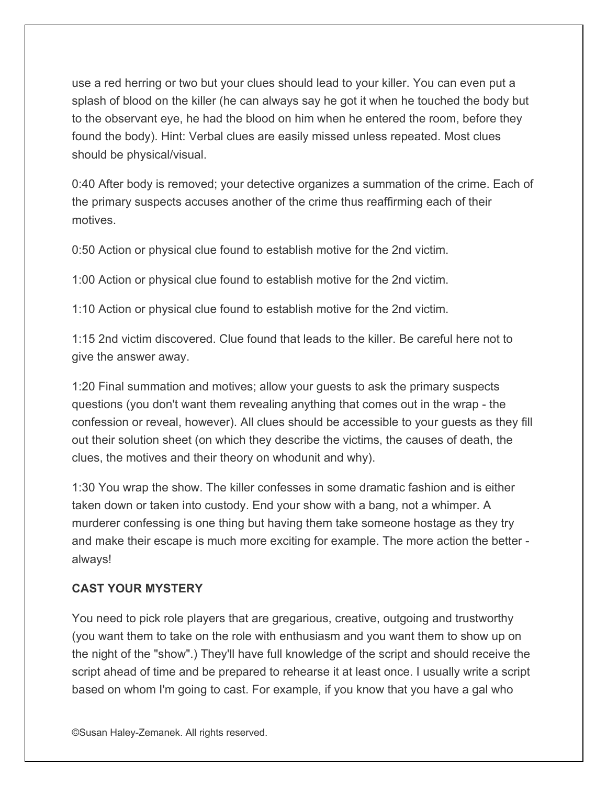use a red herring or two but your clues should lead to your killer. You can even put a splash of blood on the killer (he can always say he got it when he touched the body but to the observant eye, he had the blood on him when he entered the room, before they found the body). Hint: Verbal clues are easily missed unless repeated. Most clues should be physical/visual.

0:40 After body is removed; your detective organizes a summation of the crime. Each of the primary suspects accuses another of the crime thus reaffirming each of their motives.

0:50 Action or physical clue found to establish motive for the 2nd victim.

1:00 Action or physical clue found to establish motive for the 2nd victim.

1:10 Action or physical clue found to establish motive for the 2nd victim.

1:15 2nd victim discovered. Clue found that leads to the killer. Be careful here not to give the answer away.

1:20 Final summation and motives; allow your guests to ask the primary suspects questions (you don't want them revealing anything that comes out in the wrap - the confession or reveal, however). All clues should be accessible to your guests as they fill out their solution sheet (on which they describe the victims, the causes of death, the clues, the motives and their theory on whodunit and why).

1:30 You wrap the show. The killer confesses in some dramatic fashion and is either taken down or taken into custody. End your show with a bang, not a whimper. A murderer confessing is one thing but having them take someone hostage as they try and make their escape is much more exciting for example. The more action the better always!

# **CAST YOUR MYSTERY**

You need to pick role players that are gregarious, creative, outgoing and trustworthy (you want them to take on the role with enthusiasm and you want them to show up on the night of the "show".) They'll have full knowledge of the script and should receive the script ahead of time and be prepared to rehearse it at least once. I usually write a script based on whom I'm going to cast. For example, if you know that you have a gal who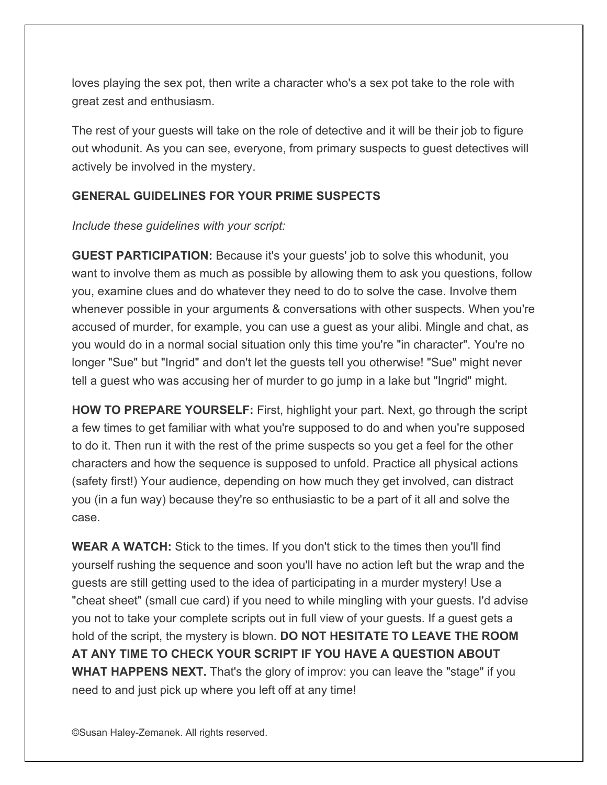loves playing the sex pot, then write a character who's a sex pot take to the role with great zest and enthusiasm.

The rest of your guests will take on the role of detective and it will be their job to figure out whodunit. As you can see, everyone, from primary suspects to guest detectives will actively be involved in the mystery.

#### **GENERAL GUIDELINES FOR YOUR PRIME SUSPECTS**

#### *Include these guidelines with your script:*

**GUEST PARTICIPATION:** Because it's your guests' job to solve this whodunit, you want to involve them as much as possible by allowing them to ask you questions, follow you, examine clues and do whatever they need to do to solve the case. Involve them whenever possible in your arguments & conversations with other suspects. When you're accused of murder, for example, you can use a guest as your alibi. Mingle and chat, as you would do in a normal social situation only this time you're "in character". You're no longer "Sue" but "Ingrid" and don't let the guests tell you otherwise! "Sue" might never tell a guest who was accusing her of murder to go jump in a lake but "Ingrid" might.

**HOW TO PREPARE YOURSELF:** First, highlight your part. Next, go through the script a few times to get familiar with what you're supposed to do and when you're supposed to do it. Then run it with the rest of the prime suspects so you get a feel for the other characters and how the sequence is supposed to unfold. Practice all physical actions (safety first!) Your audience, depending on how much they get involved, can distract you (in a fun way) because they're so enthusiastic to be a part of it all and solve the case.

**WEAR A WATCH:** Stick to the times. If you don't stick to the times then you'll find yourself rushing the sequence and soon you'll have no action left but the wrap and the guests are still getting used to the idea of participating in a murder mystery! Use a "cheat sheet" (small cue card) if you need to while mingling with your guests. I'd advise you not to take your complete scripts out in full view of your guests. If a guest gets a hold of the script, the mystery is blown. **DO NOT HESITATE TO LEAVE THE ROOM AT ANY TIME TO CHECK YOUR SCRIPT IF YOU HAVE A QUESTION ABOUT WHAT HAPPENS NEXT.** That's the glory of improv: you can leave the "stage" if you need to and just pick up where you left off at any time!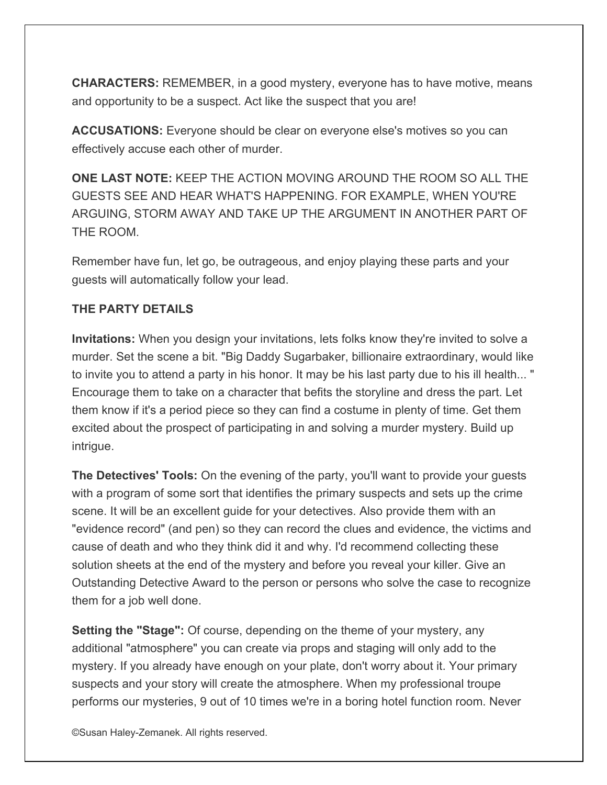**CHARACTERS:** REMEMBER, in a good mystery, everyone has to have motive, means and opportunity to be a suspect. Act like the suspect that you are!

**ACCUSATIONS:** Everyone should be clear on everyone else's motives so you can effectively accuse each other of murder.

**ONE LAST NOTE:** KEEP THE ACTION MOVING AROUND THE ROOM SO ALL THE GUESTS SEE AND HEAR WHAT'S HAPPENING. FOR EXAMPLE, WHEN YOU'RE ARGUING, STORM AWAY AND TAKE UP THE ARGUMENT IN ANOTHER PART OF THE ROOM.

Remember have fun, let go, be outrageous, and enjoy playing these parts and your guests will automatically follow your lead.

# **THE PARTY DETAILS**

**Invitations:** When you design your invitations, lets folks know they're invited to solve a murder. Set the scene a bit. "Big Daddy Sugarbaker, billionaire extraordinary, would like to invite you to attend a party in his honor. It may be his last party due to his ill health... " Encourage them to take on a character that befits the storyline and dress the part. Let them know if it's a period piece so they can find a costume in plenty of time. Get them excited about the prospect of participating in and solving a murder mystery. Build up intrigue.

**The Detectives' Tools:** On the evening of the party, you'll want to provide your guests with a program of some sort that identifies the primary suspects and sets up the crime scene. It will be an excellent guide for your detectives. Also provide them with an "evidence record" (and pen) so they can record the clues and evidence, the victims and cause of death and who they think did it and why. I'd recommend collecting these solution sheets at the end of the mystery and before you reveal your killer. Give an Outstanding Detective Award to the person or persons who solve the case to recognize them for a job well done.

**Setting the "Stage":** Of course, depending on the theme of your mystery, any additional "atmosphere" you can create via props and staging will only add to the mystery. If you already have enough on your plate, don't worry about it. Your primary suspects and your story will create the atmosphere. When my professional troupe performs our mysteries, 9 out of 10 times we're in a boring hotel function room. Never